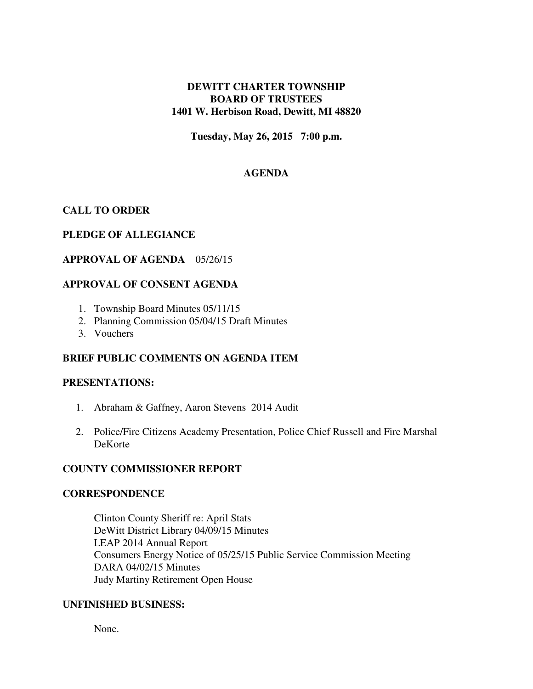## **DEWITT CHARTER TOWNSHIP BOARD OF TRUSTEES 1401 W. Herbison Road, Dewitt, MI 48820**

**Tuesday, May 26, 2015 7:00 p.m.** 

# **AGENDA**

# **CALL TO ORDER**

## **PLEDGE OF ALLEGIANCE**

### **APPROVAL OF AGENDA** 05/26/15

## **APPROVAL OF CONSENT AGENDA**

- 1. Township Board Minutes 05/11/15
- 2. Planning Commission 05/04/15 Draft Minutes
- 3. Vouchers

## **BRIEF PUBLIC COMMENTS ON AGENDA ITEM**

#### **PRESENTATIONS:**

- 1. Abraham & Gaffney, Aaron Stevens 2014 Audit
- 2. Police/Fire Citizens Academy Presentation, Police Chief Russell and Fire Marshal DeKorte

#### **COUNTY COMMISSIONER REPORT**

#### **CORRESPONDENCE**

Clinton County Sheriff re: April Stats DeWitt District Library 04/09/15 Minutes LEAP 2014 Annual Report Consumers Energy Notice of 05/25/15 Public Service Commission Meeting DARA 04/02/15 Minutes Judy Martiny Retirement Open House

#### **UNFINISHED BUSINESS:**

None.